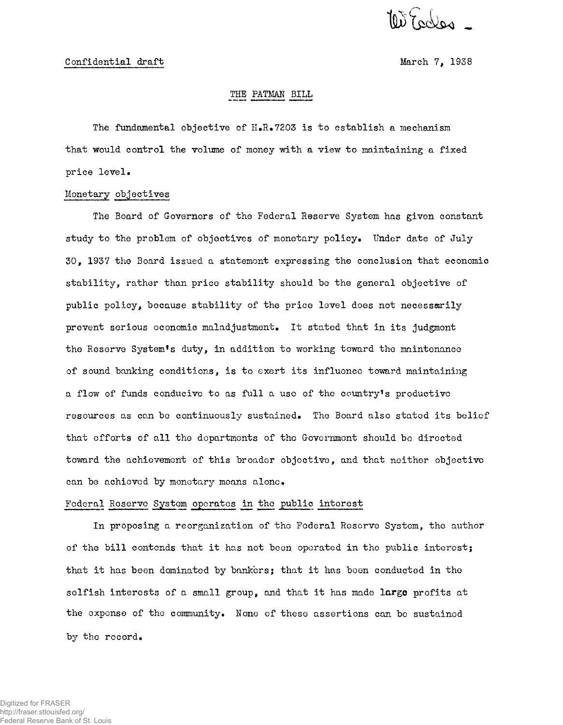W Todes

### THE PATMAN BILL

The fundamental objective of  $H_R$ .7203 is to establish a mechanism that would control the volume of money with a view to maintaining a fixed price level.

# Monetary objectives

The Board of Governors of the Federal Reserve System has given constant study to the problem of objectives of monetary policy. Under date of July 30, 1937 the Board issued a statemont expressing the conclusion that economic stability, rather than price stability should be the general objective of public policy, because stability of the price level does not necessarily prevent serious economic maladjustment. It stated that in its judgment the Reserve System's duty, in addition to working toward the maintenance of sound banking conditions, is to exert its influence toward maintaining a flow of funds conducive to as full a use of the country's productive resources as can bo continuously sustained. The Board also stated its belief that efforts of all the departments of the Government should be directed toward the achievement of this broader objective, and that neither objective can be achieved by monetary moans alone.

### Federal Reserve System operates in the public interest

In proposing a reorganization of the Federal Reserve System, the author of the bill contends that it has not been operated in the public interest; that it has been dominated by bankers; that it has been conducted in the selfish interests of a small group, and that it has made large profits at the expense of the community. None cf these assertions can be sustained by the record.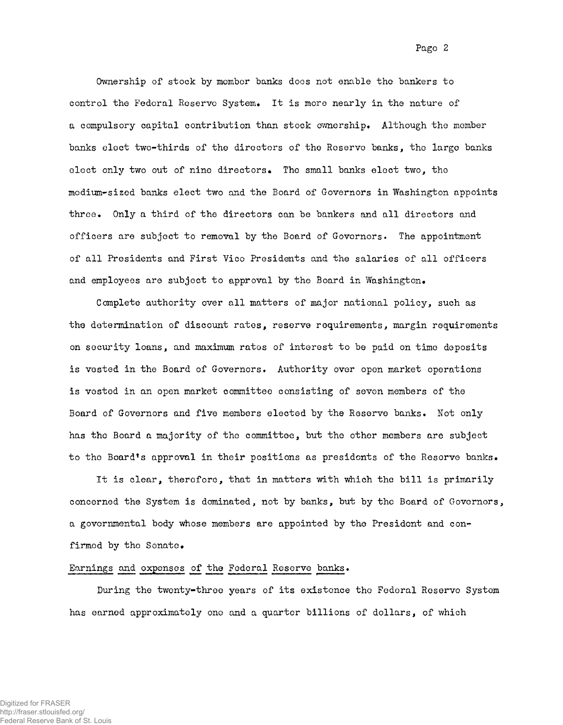Page 2

Ownership of stock by member banks does not enable the bankers to control the Federal Reserve System. It is more nearly in the nature of a compulsory capital contribution than stock ownership. Although the member banks elect two-thirds of the directors of the Reserve banks, the large banks elect only two out of nine directors. The small banks elect two, the medium-sized banks elect two and the Board of Governors in Washington appoints three. Only a third of the directors can be bankers and all directors and officers are subject to removal by the Board of Governors. The appointment of all Presidents and First Vice Presidents and the salaries of all officers and employees are subject to approval by the Board in Washington.

Complete authority over all matters of major national policy, such as the determination of discount rates, reserve requirements, margin requirements on security loans, and maximum rates of interest to be paid on time deposits is vested in the Board of Governors. Authority over open market operations is vested in an open market committee consisting of seven members of the Board of Governors and five members elected by the Reserve banks. Not only has the Board a majority of the committee, but the other members are subject to the Board's approval in their positions as presidents of the Reserve banks.

It is clear, therefore, that in matters with which the bill is primarily concerned the System is dominated, not by banks, but by the Board of Governors, a governmental body whose members are appointed by the President and confirmed by the Senate.

#### Earnings and expenses of the Federal Reserve banks.

During the twenty-three years of its existence the Federal Reserve System has earned approximately one and a quarter billions of dollars, of which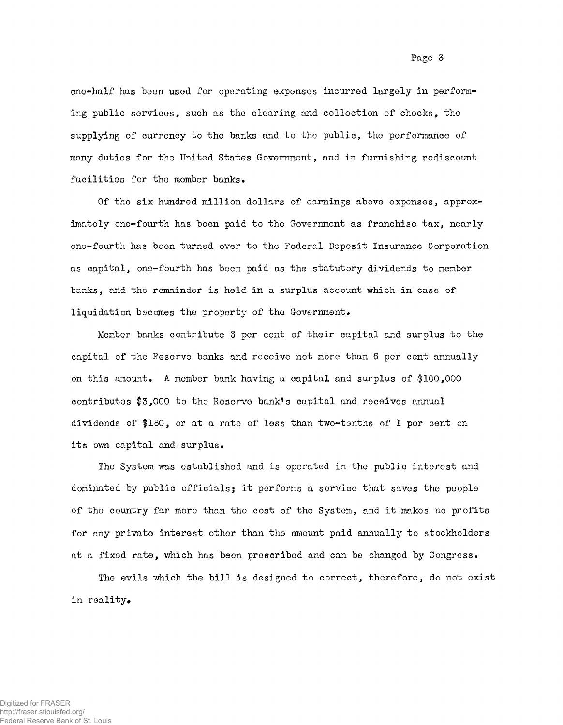one-half has been used for operating expenses incurred largely in performing public services, such as the cloaring and collection of checks, the supplying of currency to the banks and to the public, the performance of many duties for the United States Government, and in furnishing rediscount facilities for the member banks.

Of the six hundred million dollars of earnings above expenses, approximately one-fourth has been paid to the Government as franchise tax, nearly one-fourth has been turned over to the Federal Deposit Insurance Corporation as capital, one-fourth has been paid as the statutory dividends to member banks, and the remainder is held in a surplus account which in case of liquidation becomes the property of the Government.

Member banks contribute 3 per cent of their capital and surplus to the capital of the Reserve banks and receive not more than 6 per cent annually on this amount. A member bank having a capital and surplus of \$100,000 contributes \$3,000 to the Reserve bank's capital and receives annual dividends of \$180, or at a rate of less than two-tenths of 1 per cent on its own capital and surplus.

The System was established and is operated in the public interest and dominated by public officials; it performs a service that saves the people of the country far more than the cost of the System, and it makes no profits for any private interest other than the amount paid annually to stockholders at a fixed rate, which has been prescribed and can be changed by Congress.

The evils which the bill is designed to correct, therefore, do not exist in reality.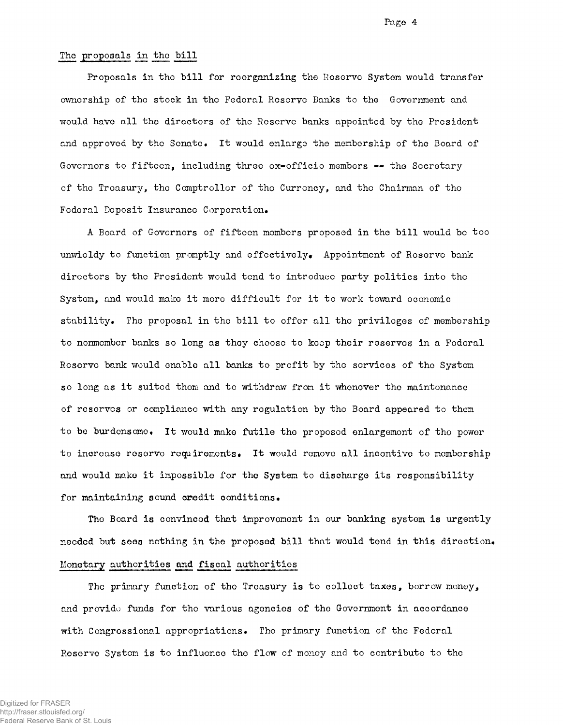Page 4

# The proposals in the bill

Proposals in tho bill for reorganizing the Reserve System would transfer ownership of tho stock in the Federal Reserve Banks to the Government and would have all the directors of the Reserve banks appointed by the President and approved by the Senate. It would enlarge the membership of the Board of Governors to fifteen, including three cx-officio members — the Secretary of the Treasury, the Comptroller of the Currency, and the Chairman of the Federal Deposit Insurance Corporation.

A Board of Governors of fifteen members proposed in the bill would be too unwieldy to function promptly and effectively. Appointment of Reserve bank directors by the President would tend to introduce party politics into the System, and would make it more difficult for it to work toward economic stability. The proposal in the bill to offer all the privileges of membership to nonmembor banks so long as they choose to keep their reserves in a Federal Reserve bank would enable all banks to profit by the services of the System so long as it suited them and to withdraw from it whenever the maintenance of reserves or compliance with any regulation by the Board appeared to them to be burdensome. It would make futile the proposed enlargement of the power to increase reserve requirements. It would remove all incentive to membership and would make it impossible for the System to discharge its responsibility for maintaining sound credit conditions.

Tho Board is convincod that improvement in our banking system is urgently needed but sees nothing in the proposed bill that would tend in this direction. Monetary authorities and fiscal authorities

The primary function of tho Treasury is to collect taxes, borrow money, and provide funds for the various agencies of the Government in accordance with Congressional appropriations. Tho primary function of the Federal Reserve System is to influence the flow of money and to contribute to the